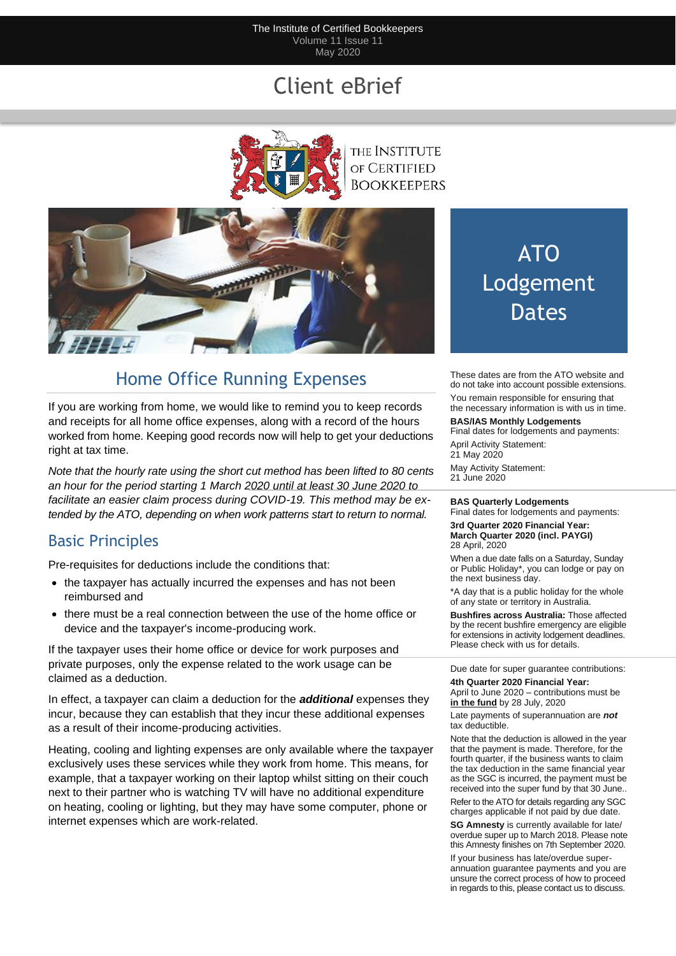#### The Institute of Certified Bookkeepers Volume 11 Issue 11 May 2020

## Client eBrief



the Institute OF CERTIFIED **BOOKKEEPERS** 



## Home Office Running Expenses

If you are working from home, we would like to remind you to keep records and receipts for all home office expenses, along with a record of the hours worked from home. Keeping good records now will help to get your deductions right at tax time.

*Note that the hourly rate using the short cut method has been lifted to 80 cents an hour for the period starting 1 March 2020 until at least 30 June 2020 to facilitate an easier claim process during COVID-19. This method may be extended by the ATO, depending on when work patterns start to return to normal.*

## Basic Principles

Pre-requisites for deductions include the conditions that:

- the taxpayer has actually incurred the expenses and has not been reimbursed and
- there must be a real connection between the use of the home office or device and the taxpayer's income-producing work.

If the taxpayer uses their home office or device for work purposes and private purposes, only the expense related to the work usage can be claimed as a deduction.

In effect, a taxpayer can claim a deduction for the *additional* expenses they incur, because they can establish that they incur these additional expenses as a result of their income-producing activities.

Heating, cooling and lighting expenses are only available where the taxpayer exclusively uses these services while they work from home. This means, for example, that a taxpayer working on their laptop whilst sitting on their couch next to their partner who is watching TV will have no additional expenditure on heating, cooling or lighting, but they may have some computer, phone or internet expenses which are work-related.

# ATO Lodgement Dates

These dates are from the ATO website and do not take into account possible extensions. You remain responsible for ensuring that the necessary information is with us in time.

#### **BAS/IAS Monthly Lodgements**

Final dates for lodgements and payments: April Activity Statement: 21 May 2020 May Activity Statement: 21 June 2020

#### **BAS Quarterly Lodgements**

Final dates for lodgements and payments: **3rd Quarter 2020 Financial Year: March Quarter 2020 (incl. PAYGI)** 28 April, 2020

When a due date falls on a Saturday, Sunday or Public Holiday\*, you can lodge or pay on the next business day.

\*A day that is a public holiday for the whole of any state or territory in Australia.

**Bushfires across Australia:** Those affected by the recent bushfire emergency are eligible for extensions in activity lodgement deadlines. Please check with us for details.

Due date for super guarantee contributions:

**4th Quarter 2020 Financial Year:** April to June 2020 – contributions must be **in the fund** by 28 July, 2020

Late payments of superannuation are *not* tax deductible.

Note that the deduction is allowed in the year that the payment is made. Therefore, for the fourth quarter, if the business wants to claim the tax deduction in the same financial year as the SGC is incurred, the payment must be received into the super fund by that 30 June..

Refer to the ATO for details regarding any SGC charges applicable if not paid by due date.

**SG Amnesty** is currently available for late/ overdue super up to March 2018. Please note this Amnesty finishes on 7th September 2020.

If your business has late/overdue superannuation guarantee payments and you are unsure the correct process of how to proceed in regards to this, please contact us to discuss.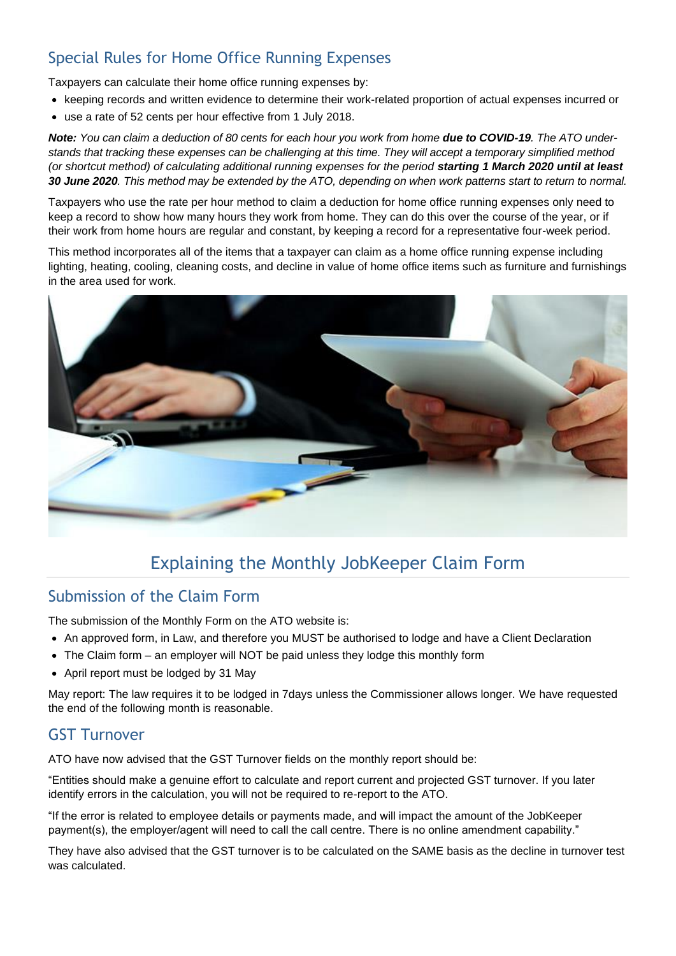## Special Rules for Home Office Running Expenses

Taxpayers can calculate their home office running expenses by:

- keeping records and written evidence to determine their work-related proportion of actual expenses incurred or
- use a rate of 52 cents per hour effective from 1 July 2018.

**Note:** You can claim a deduction of 80 cents for each hour you work from home **due to COVID-19**. The ATO under*stands that tracking these expenses can be challenging at this time. They will accept a temporary simplified method (or shortcut method) of calculating additional running expenses for the period starting 1 March 2020 until at least 30 June 2020. This method may be extended by the ATO, depending on when work patterns start to return to normal.*

Taxpayers who use the rate per hour method to claim a deduction for home office running expenses only need to keep a record to show how many hours they work from home. They can do this over the course of the year, or if their work from home hours are regular and constant, by keeping a record for a representative four-week period.

This method incorporates all of the items that a taxpayer can claim as a home office running expense including lighting, heating, cooling, cleaning costs, and decline in value of home office items such as furniture and furnishings in the area used for work.



## Explaining the Monthly JobKeeper Claim Form

### Submission of the Claim Form

The submission of the Monthly Form on the ATO website is:

- An approved form, in Law, and therefore you MUST be authorised to lodge and have a Client Declaration
- The Claim form an employer will NOT be paid unless they lodge this monthly form
- April report must be lodged by 31 May

May report: The law requires it to be lodged in 7days unless the Commissioner allows longer. We have requested the end of the following month is reasonable.

### GST Turnover

ATO have now advised that the GST Turnover fields on the monthly report should be:

"Entities should make a genuine effort to calculate and report current and projected GST turnover. If you later identify errors in the calculation, you will not be required to re-report to the ATO.

"If the error is related to employee details or payments made, and will impact the amount of the JobKeeper payment(s), the employer/agent will need to call the call centre. There is no online amendment capability."

They have also advised that the GST turnover is to be calculated on the SAME basis as the decline in turnover test was calculated.